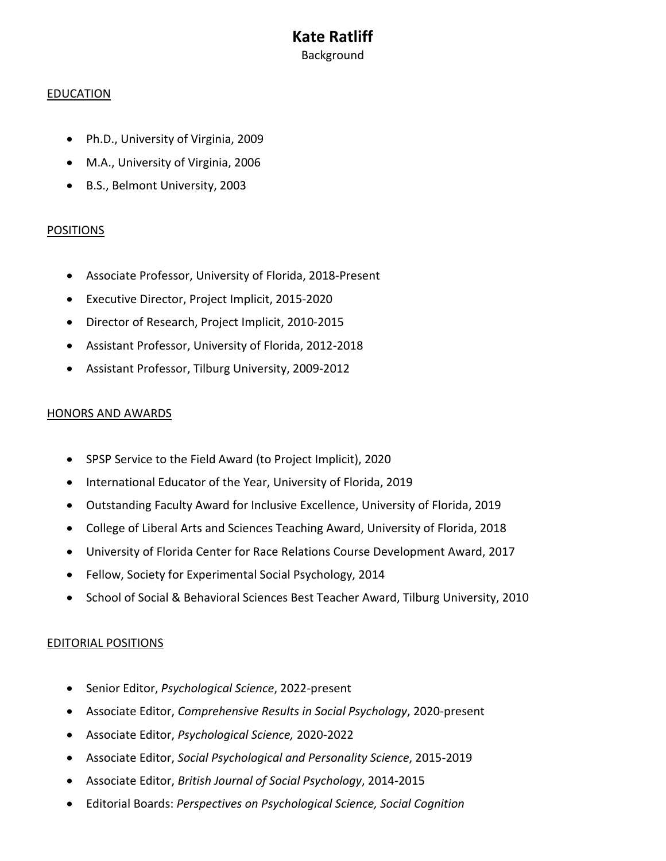# **Kate Ratliff** Background

#### EDUCATION

- Ph.D., University of Virginia, 2009
- M.A., University of Virginia, 2006
- B.S., Belmont University, 2003

### POSITIONS

- Associate Professor, University of Florida, 2018-Present
- Executive Director, Project Implicit, 2015-2020
- Director of Research, Project Implicit, 2010-2015
- Assistant Professor, University of Florida, 2012-2018
- Assistant Professor, Tilburg University, 2009-2012

### HONORS AND AWARDS

- SPSP Service to the Field Award (to Project Implicit), 2020
- International Educator of the Year, University of Florida, 2019
- Outstanding Faculty Award for Inclusive Excellence, University of Florida, 2019
- College of Liberal Arts and Sciences Teaching Award, University of Florida, 2018
- University of Florida Center for Race Relations Course Development Award, 2017
- Fellow, Society for Experimental Social Psychology, 2014
- School of Social & Behavioral Sciences Best Teacher Award, Tilburg University, 2010

## EDITORIAL POSITIONS

- Senior Editor, *Psychological Science*, 2022-present
- Associate Editor, *Comprehensive Results in Social Psychology*, 2020-present
- Associate Editor, *Psychological Science,* 2020-2022
- Associate Editor, *Social Psychological and Personality Science*, 2015-2019
- Associate Editor, *British Journal of Social Psychology*, 2014-2015
- Editorial Boards: *Perspectives on Psychological Science, Social Cognition*